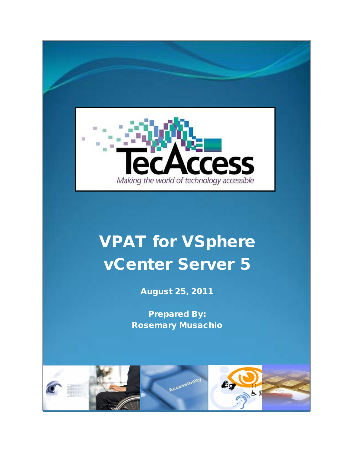

## VPAT for VSphere vCenter Server 5

August 25, 2011

Prepared By: Rosemary Musachio

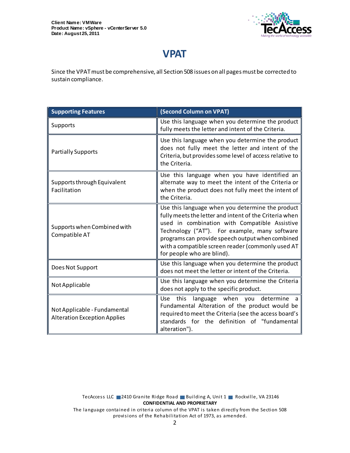

## **VPAT**

Since the VPAT must be comprehensive, all Section 508 issues on all pages must be corrected to sustain compliance.

| <b>Supporting Features</b>                                          | (Second Column on VPAT)                                                                                                                                                                                                                                                                                                                             |
|---------------------------------------------------------------------|-----------------------------------------------------------------------------------------------------------------------------------------------------------------------------------------------------------------------------------------------------------------------------------------------------------------------------------------------------|
| Supports                                                            | Use this language when you determine the product<br>fully meets the letter and intent of the Criteria.                                                                                                                                                                                                                                              |
| <b>Partially Supports</b>                                           | Use this language when you determine the product<br>does not fully meet the letter and intent of the<br>Criteria, but provides some level of access relative to<br>the Criteria.                                                                                                                                                                    |
| Supports through Equivalent<br>Facilitation                         | Use this language when you have identified an<br>alternate way to meet the intent of the Criteria or<br>when the product does not fully meet the intent of<br>the Criteria.                                                                                                                                                                         |
| Supports when Combined with<br>Compatible AT                        | Use this language when you determine the product<br>fully meets the letter and intent of the Criteria when<br>used in combination with Compatible Assistive<br>Technology ("AT"). For example, many software<br>programs can provide speech output when combined<br>with a compatible screen reader (commonly used AT<br>for people who are blind). |
| Does Not Support                                                    | Use this language when you determine the product<br>does not meet the letter or intent of the Criteria.                                                                                                                                                                                                                                             |
| Not Applicable                                                      | Use this language when you determine the Criteria<br>does not apply to the specific product.                                                                                                                                                                                                                                                        |
| Not Applicable - Fundamental<br><b>Alteration Exception Applies</b> | Use this<br>language when you<br>determine<br>a a<br>Fundamental Alteration of the product would be<br>required to meet the Criteria (see the access board's<br>standards for the definition of "fundamental<br>alteration").                                                                                                                       |

TecAccess LLC 2410 Granite Ridge Road Building A, Unit 1 Rockville, VA 23146 **CONFIDENTIAL AND PROPRIETARY** The language contained in criteria column of the VPAT is taken directly from the Section 508 provisions of the Rehabilitation Act of 1973, as amended.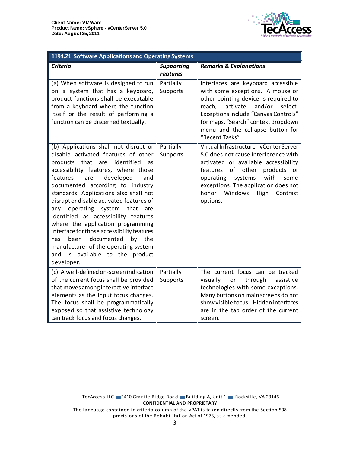

| 1194.21 Software Applications and Operating Systems                                                                                                                                                                                                                                                                                                                                                                                                                                                                                                                                                                                         |                                      |                                                                                                                                                                                                                                                                                                       |  |
|---------------------------------------------------------------------------------------------------------------------------------------------------------------------------------------------------------------------------------------------------------------------------------------------------------------------------------------------------------------------------------------------------------------------------------------------------------------------------------------------------------------------------------------------------------------------------------------------------------------------------------------------|--------------------------------------|-------------------------------------------------------------------------------------------------------------------------------------------------------------------------------------------------------------------------------------------------------------------------------------------------------|--|
| <b>Criteria</b>                                                                                                                                                                                                                                                                                                                                                                                                                                                                                                                                                                                                                             | <b>Supporting</b><br><b>Features</b> | <b>Remarks &amp; Explanations</b>                                                                                                                                                                                                                                                                     |  |
| (a) When software is designed to run<br>on a system that has a keyboard,<br>product functions shall be executable<br>from a keyboard where the function<br>itself or the result of performing a<br>function can be discerned textually.                                                                                                                                                                                                                                                                                                                                                                                                     | Partially<br>Supports                | Interfaces are keyboard accessible<br>with some exceptions. A mouse or<br>other pointing device is required to<br>and/or<br>reach,<br>activate<br>select.<br>Exceptions include "Canvas Controls"<br>for maps, "Search" context dropdown<br>menu and the collapse button for<br>"Recent Tasks"        |  |
| (b) Applications shall not disrupt or<br>disable activated features of other<br>identified<br>products<br>that<br>are<br>as<br>accessibility features, where those<br>features<br>developed<br>are<br>and<br>documented according to industry<br>standards. Applications also shall not<br>disrupt or disable activated features of<br>system<br>any<br>operating<br>that<br>are<br>identified as accessibility features<br>where the application programming<br>interface for those accessibility features<br>documented<br>been<br>by the<br>has<br>manufacturer of the operating system<br>and is available to the product<br>developer. | Partially<br>Supports                | Virtual Infrastructure - vCenter Server<br>5.0 does not cause interference with<br>activated or available accessibility<br>of<br>other<br>products<br>features<br>or<br>with<br>systems<br>operating<br>some<br>exceptions. The application does not<br>honor Windows<br>High<br>Contrast<br>options. |  |
| (c) A well-defined on-screen indication<br>of the current focus shall be provided<br>that moves among interactive interface<br>elements as the input focus changes.<br>The focus shall be programmatically<br>exposed so that assistive technology<br>can track focus and focus changes.                                                                                                                                                                                                                                                                                                                                                    | Partially<br>Supports                | The current focus can be tracked<br>visually<br>through<br>or<br>assistive<br>technologies with some exceptions.<br>Many buttons on main screens do not<br>show visible focus. Hidden interfaces<br>are in the tab order of the current<br>screen.                                                    |  |

TecAccess LLC 2410 Granite Ridge Road Building A, Unit 1 Rockville, VA 23146 **CONFIDENTIAL AND PROPRIETARY** The language contained in criteria column of the VPAT is taken directly from the Section 508

provisions of the Rehabilitation Act of 1973, as amended.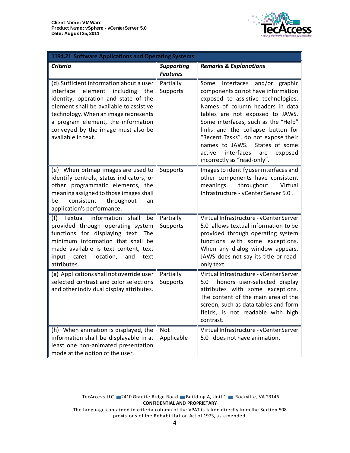

| 1194.21 Software Applications and Operating Systems                                                                                                                                                                                                                                                              |                                      |                                                                                                                                                                                                                                                                                                                                                                                                               |  |
|------------------------------------------------------------------------------------------------------------------------------------------------------------------------------------------------------------------------------------------------------------------------------------------------------------------|--------------------------------------|---------------------------------------------------------------------------------------------------------------------------------------------------------------------------------------------------------------------------------------------------------------------------------------------------------------------------------------------------------------------------------------------------------------|--|
| <b>Criteria</b>                                                                                                                                                                                                                                                                                                  | <b>Supporting</b><br><b>Features</b> | <b>Remarks &amp; Explanations</b>                                                                                                                                                                                                                                                                                                                                                                             |  |
| (d) Sufficient information about a user<br>element<br>including<br>interface<br>the<br>identity, operation and state of the<br>element shall be available to assistive<br>technology. When an image represents<br>a program element, the information<br>conveyed by the image must also be<br>available in text. | Partially<br>Supports                | Some interfaces and/or graphic<br>components do not have information<br>exposed to assistive technologies.<br>Names of column headers in data<br>tables are not exposed to JAWS.<br>Some interfaces, such as the "Help"<br>links and the collapse button for<br>"Recent Tasks", do not expose their<br>names to JAWS. States of some<br>interfaces<br>active<br>exposed<br>are<br>incorrectly as "read-only". |  |
| (e) When bitmap images are used to<br>identify controls, status indicators, or<br>other programmatic elements, the<br>meaning assigned to those images shall<br>consistent<br>throughout<br>be<br>an<br>application's performance.                                                                               | Supports                             | Images to identify user interfaces and<br>other components have consistent<br>throughout<br>meanings<br>Virtual<br>Infrastructure - vCenter Server 5.0.                                                                                                                                                                                                                                                       |  |
| Textual information shall<br>(f)<br>be<br>provided through operating system<br>functions for displaying text. The<br>minimum information that shall be<br>made available is text content, text<br>input caret location,<br>and<br>text<br>attributes.                                                            | Partially<br><b>Supports</b>         | Virtual Infrastructure - vCenter Server<br>5.0 allows textual information to be<br>provided through operating system<br>functions with some exceptions.<br>When any dialog window appears,<br>JAWS does not say its title or read-<br>only text.                                                                                                                                                              |  |
| (g) Applications shall not override user<br>selected contrast and color selections<br>and other individual display attributes.                                                                                                                                                                                   | Partially<br>Supports                | Virtual Infrastructure - vCenter Server<br>honors user-selected display<br>5.0<br>attributes with some exceptions.<br>The content of the main area of the<br>screen, such as data tables and form<br>fields, is not readable with high<br>contrast.                                                                                                                                                           |  |
| (h) When animation is displayed, the<br>information shall be displayable in at<br>least one non-animated presentation<br>mode at the option of the user.                                                                                                                                                         | Not<br>Applicable                    | Virtual Infrastructure - vCenter Server<br>5.0 does not have animation.                                                                                                                                                                                                                                                                                                                                       |  |

TecAccess LLC 2410 Granite Ridge Road Building A, Unit 1 Rockville, VA 23146 **CONFIDENTIAL AND PROPRIETARY**

The language contained in criteria column of the VPAT is taken directly from the Section 508 provisions of the Rehabilitation Act of 1973, as amended.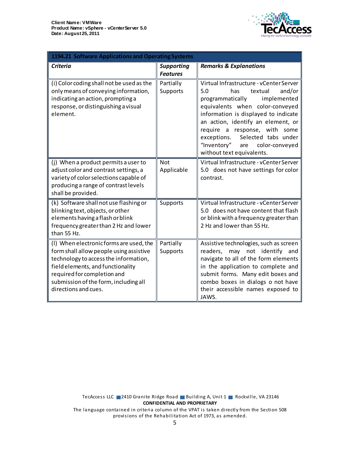

| 1194.21 Software Applications and Operating Systems                                                                                                                                                                                                              |                                      |                                                                                                                                                                                                                                                                                                                                                                            |
|------------------------------------------------------------------------------------------------------------------------------------------------------------------------------------------------------------------------------------------------------------------|--------------------------------------|----------------------------------------------------------------------------------------------------------------------------------------------------------------------------------------------------------------------------------------------------------------------------------------------------------------------------------------------------------------------------|
| <b>Criteria</b>                                                                                                                                                                                                                                                  | <b>Supporting</b><br><b>Features</b> | <b>Remarks &amp; Explanations</b>                                                                                                                                                                                                                                                                                                                                          |
| (i) Color coding shall not be used as the<br>only means of conveying information,<br>indicating an action, prompting a<br>response, or distinguishing a visual<br>element.                                                                                       | Partially<br>Supports                | Virtual Infrastructure - vCenter Server<br>5.0<br>has<br>textual<br>and/or<br>programmatically<br>implemented<br>equivalents when color-conveyed<br>information is displayed to indicate<br>an action, identify an element, or<br>require a response, with some<br>exceptions.<br>Selected tabs under<br>"Inventory"<br>color-conveyed<br>are<br>without text equivalents. |
| (j) When a product permits a user to<br>adjust color and contrast settings, a<br>variety of color selections capable of<br>producing a range of contrast levels<br>shall be provided.                                                                            | <b>Not</b><br>Applicable             | Virtual Infrastructure - vCenter Server<br>5.0 does not have settings for color<br>contrast.                                                                                                                                                                                                                                                                               |
| (k) Software shall not use flashing or<br>blinking text, objects, or other<br>elements having a flash or blink<br>frequency greater than 2 Hz and lower<br>than 55 Hz.                                                                                           | Supports                             | Virtual Infrastructure - vCenter Server<br>5.0 does not have content that flash<br>or blink with a frequency greater than<br>2 Hz and lower than 55 Hz.                                                                                                                                                                                                                    |
| (I) When electronic forms are used, the<br>form shall allow people using assistive<br>technology to access the information,<br>field elements, and functionality<br>required for completion and<br>submission of the form, including all<br>directions and cues. | Partially<br>Supports                | Assistive technologies, such as screen<br>may not identify and<br>readers,<br>navigate to all of the form elements<br>in the application to complete and<br>submit forms. Many edit boxes and<br>combo boxes in dialogs o not have<br>their accessible names exposed to<br>JAWS.                                                                                           |

TecAccess LLC 2410 Granite Ridge Road Building A, Unit 1 Rockville, VA 23146 **CONFIDENTIAL AND PROPRIETARY** The language contained in criteria column of the VPAT is taken directly from the Section 508 provisions of the Rehabilitation Act of 1973, as amended.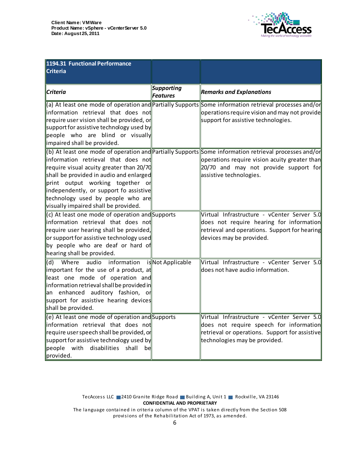

| 1194.31 Functional Performance<br><b>Criteria</b>                                                                                                                                                                                                                                     |                        |                                                                                                                                                                                                                            |
|---------------------------------------------------------------------------------------------------------------------------------------------------------------------------------------------------------------------------------------------------------------------------------------|------------------------|----------------------------------------------------------------------------------------------------------------------------------------------------------------------------------------------------------------------------|
|                                                                                                                                                                                                                                                                                       |                        |                                                                                                                                                                                                                            |
| <b>Criteria</b>                                                                                                                                                                                                                                                                       | Supporting<br>Features | <b>Remarks and Explanations</b>                                                                                                                                                                                            |
| information retrieval that does not<br>require user vision shall be provided, or<br>support for assistive technology used by<br>people who are blind or visually<br>impaired shall be provided.                                                                                       |                        | (a) At least one mode of operation and Partially Supports Some information retrieval processes and/or<br>operations require vision and may not provide<br>support for assistive technologies.                              |
| information retrieval that does not<br>require visual acuity greater than 20/70<br>shall be provided in audio and enlarged<br>print output working together or<br>independently, or support fo assistive<br>technology used by people who are<br>visually impaired shall be provided. |                        | (b) At least one mode of operation and Partially Supports Some information retrieval processes and/or<br>operations require vision acuity greater than<br>20/70 and may not provide support for<br>assistive technologies. |
| (c) At least one mode of operation and Supports<br>information retrieval that does not<br>require user hearing shall be provided,<br>or support for assistive technology used<br>by people who are deaf or hard of<br>hearing shall be provided.                                      |                        | Virtual Infrastructure - vCenter Server 5.0<br>does not require hearing for information<br>retrieval and operations. Support for hearing<br>devices may be provided.                                                       |
| Where audio information is Not Applicable<br>(d)<br>important for the use of a product, at<br>least one mode of operation and<br>information retrieval shall be provided in<br>an enhanced auditory fashion, or<br>support for assistive hearing devices<br>shall be provided.        |                        | Virtual Infrastructure - vCenter Server 5.0<br>does not have audio information.                                                                                                                                            |
| (e) At least one mode of operation and Supports<br>information retrieval that does not<br>require user speech shall be provided, or<br>support for assistive technology used by<br>$\parallel$ people with disabilities<br>shall<br>be<br>provided.                                   |                        | Virtual Infrastructure - vCenter Server 5.0<br>does not require speech for information<br>retrieval or operations. Support for assistive<br>technologies may be provided.                                                  |

TecAccess LLC 2410 Granite Ridge Road Building A, Unit 1 Rockville, VA 23146 **CONFIDENTIAL AND PROPRIETARY** The language contained in criteria column of the VPAT is taken directly from the Section 508

provisions of the Rehabilitation Act of 1973, as amended.